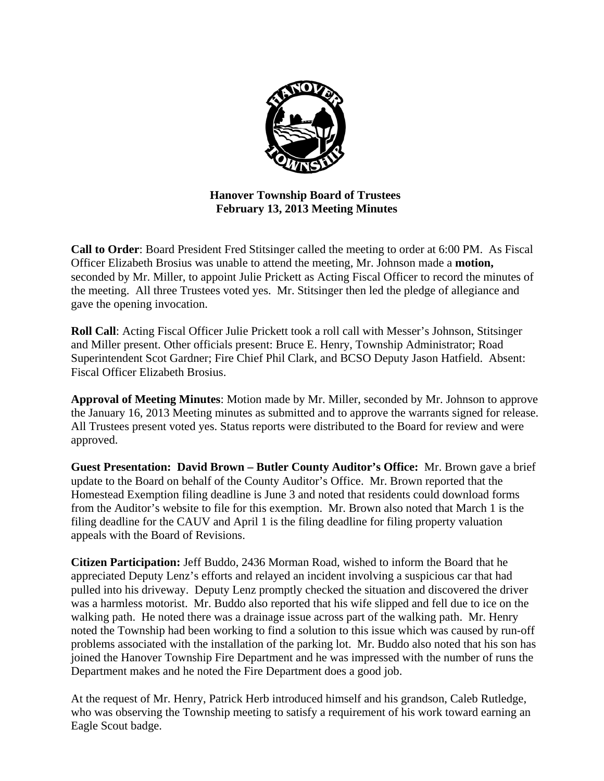

**Hanover Township Board of Trustees February 13, 2013 Meeting Minutes** 

**Call to Order**: Board President Fred Stitsinger called the meeting to order at 6:00 PM. As Fiscal Officer Elizabeth Brosius was unable to attend the meeting, Mr. Johnson made a **motion,**  seconded by Mr. Miller, to appoint Julie Prickett as Acting Fiscal Officer to record the minutes of the meeting. All three Trustees voted yes. Mr. Stitsinger then led the pledge of allegiance and gave the opening invocation.

**Roll Call**: Acting Fiscal Officer Julie Prickett took a roll call with Messer's Johnson, Stitsinger and Miller present. Other officials present: Bruce E. Henry, Township Administrator; Road Superintendent Scot Gardner; Fire Chief Phil Clark, and BCSO Deputy Jason Hatfield. Absent: Fiscal Officer Elizabeth Brosius.

**Approval of Meeting Minutes**: Motion made by Mr. Miller, seconded by Mr. Johnson to approve the January 16, 2013 Meeting minutes as submitted and to approve the warrants signed for release. All Trustees present voted yes. Status reports were distributed to the Board for review and were approved.

**Guest Presentation: David Brown – Butler County Auditor's Office:** Mr. Brown gave a brief update to the Board on behalf of the County Auditor's Office. Mr. Brown reported that the Homestead Exemption filing deadline is June 3 and noted that residents could download forms from the Auditor's website to file for this exemption. Mr. Brown also noted that March 1 is the filing deadline for the CAUV and April 1 is the filing deadline for filing property valuation appeals with the Board of Revisions.

**Citizen Participation:** Jeff Buddo, 2436 Morman Road, wished to inform the Board that he appreciated Deputy Lenz's efforts and relayed an incident involving a suspicious car that had pulled into his driveway. Deputy Lenz promptly checked the situation and discovered the driver was a harmless motorist. Mr. Buddo also reported that his wife slipped and fell due to ice on the walking path. He noted there was a drainage issue across part of the walking path. Mr. Henry noted the Township had been working to find a solution to this issue which was caused by run-off problems associated with the installation of the parking lot. Mr. Buddo also noted that his son has joined the Hanover Township Fire Department and he was impressed with the number of runs the Department makes and he noted the Fire Department does a good job.

At the request of Mr. Henry, Patrick Herb introduced himself and his grandson, Caleb Rutledge, who was observing the Township meeting to satisfy a requirement of his work toward earning an Eagle Scout badge.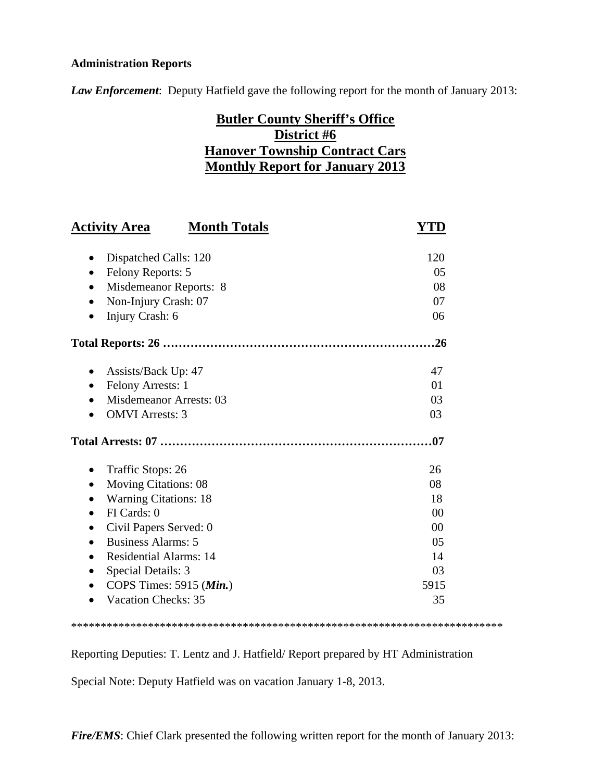### **Administration Reports**

*Law Enforcement*: Deputy Hatfield gave the following report for the month of January 2013:

# **Butler County Sheriff's Office District #6 Hanover Township Contract Cars Monthly Report for January 2013**

| <b>Activity Area</b>               | <b>Month Totals</b> | YTD            |
|------------------------------------|---------------------|----------------|
|                                    |                     |                |
| Dispatched Calls: 120<br>$\bullet$ |                     | 120            |
| Felony Reports: 5<br>$\bullet$     |                     | 05             |
| Misdemeanor Reports: 8             |                     | 08             |
| Non-Injury Crash: 07               |                     | 07             |
| Injury Crash: 6                    |                     | 06             |
|                                    |                     |                |
| Assists/Back Up: 47                |                     | 47             |
| Felony Arrests: 1<br>$\bullet$     |                     | 01             |
| <b>Misdemeanor Arrests: 03</b>     |                     | 03             |
| <b>OMVI</b> Arrests: 3             |                     | 03             |
|                                    |                     | .07            |
| Traffic Stops: 26                  |                     | 26             |
| <b>Moving Citations: 08</b>        |                     | 08             |
| <b>Warning Citations: 18</b>       |                     | 18             |
| FI Cards: 0<br>$\bullet$           |                     | 0 <sup>0</sup> |
| Civil Papers Served: 0             |                     | 0 <sup>0</sup> |
| <b>Business Alarms: 5</b>          |                     | 05             |
| <b>Residential Alarms: 14</b>      |                     | 14             |
| Special Details: 3                 |                     | 03             |
| COPS Times: 5915 (Min.)            |                     | 5915           |
| <b>Vacation Checks: 35</b>         |                     | 35             |

#### \*\*\*\*\*\*\*\*\*\*\*\*\*\*\*\*\*\*\*\*\*\*\*\*\*\*\*\*\*\*\*\*\*\*\*\*\*\*\*\*\*\*\*\*\*\*\*\*\*\*\*\*\*\*\*\*\*\*\*\*\*\*\*\*\*\*\*\*\*\*\*\*\*

Reporting Deputies: T. Lentz and J. Hatfield/ Report prepared by HT Administration

Special Note: Deputy Hatfield was on vacation January 1-8, 2013.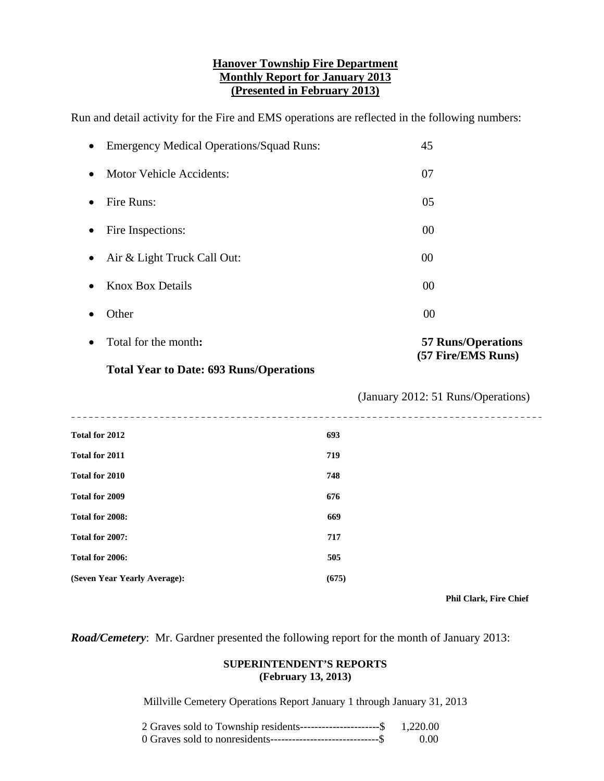#### **Hanover Township Fire Department Monthly Report for January 2013 (Presented in February 2013)**

Run and detail activity for the Fire and EMS operations are reflected in the following numbers:

| <b>Emergency Medical Operations/Squad Runs:</b><br>$\bullet$ | 45                                 |
|--------------------------------------------------------------|------------------------------------|
| <b>Motor Vehicle Accidents:</b><br>$\bullet$                 | 07                                 |
| Fire Runs:                                                   | 05                                 |
| Fire Inspections:                                            | 00                                 |
| Air & Light Truck Call Out:                                  | 00                                 |
| <b>Knox Box Details</b>                                      | 00                                 |
| Other                                                        | 00                                 |
| Total for the month:<br>$\bullet$                            | <b>57 Runs/Operations</b>          |
| <b>Total Year to Date: 693 Runs/Operations</b>               | (57 Fire/EMS Runs)                 |
|                                                              |                                    |
|                                                              | (January 2012: 51 Runs/Operations) |
| <b>Total for 2012</b>                                        | 693                                |
| <b>Total for 2011</b>                                        | 719                                |
| Total for 2010                                               | 748                                |
| Total for 2009                                               | 676                                |
| Total for 2008:                                              | 669                                |
| Total for 2007:                                              | 717                                |
| Total for 2006:                                              | 505                                |

 **Phil Clark, Fire Chief** 

*Road/Cemetery*: Mr. Gardner presented the following report for the month of January 2013:

#### **SUPERINTENDENT'S REPORTS (February 13, 2013)**

Millville Cemetery Operations Report January 1 through January 31, 2013

| 2 Graves sold to Township residents-----------------------\$ 1,220.00 |      |
|-----------------------------------------------------------------------|------|
|                                                                       | 0.00 |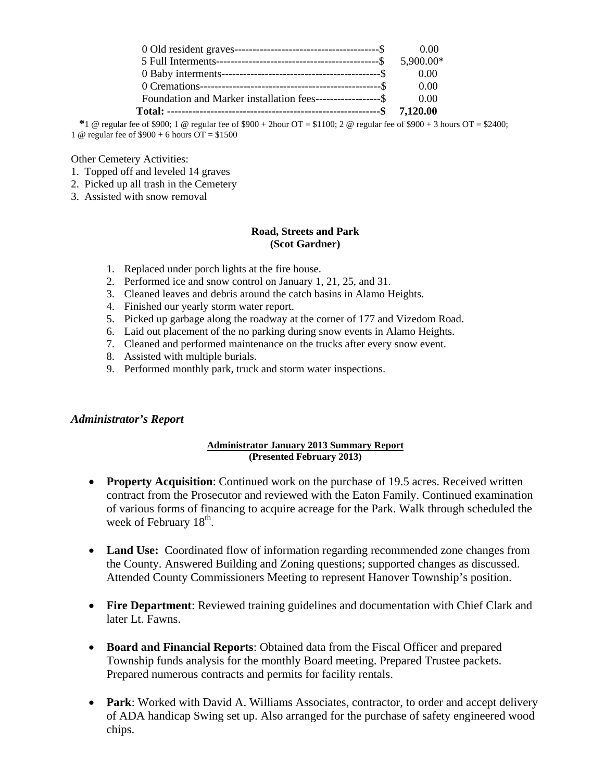|                                                               | 0.00      |
|---------------------------------------------------------------|-----------|
|                                                               | 5,900.00* |
|                                                               | 0.00      |
|                                                               | 0.00      |
| Foundation and Marker installation fees--------------------\$ | 0.00      |
|                                                               | 7.120.00  |

 $*1 \text{ } @$  regular fee of \$900; 1  $@$  regular fee of \$900 + 2hour OT = \$1100; 2  $@$  regular fee of \$900 + 3 hours OT = \$2400; 1 @ regular fee of \$900 + 6 hours OT = \$1500

Other Cemetery Activities:

- 1. Topped off and leveled 14 graves
- 2. Picked up all trash in the Cemetery
- 3. Assisted with snow removal

#### **Road, Streets and Park (Scot Gardner)**

- 1. Replaced under porch lights at the fire house.
- 2. Performed ice and snow control on January 1, 21, 25, and 31.
- 3. Cleaned leaves and debris around the catch basins in Alamo Heights.
- 4. Finished our yearly storm water report.
- 5. Picked up garbage along the roadway at the corner of 177 and Vizedom Road.
- 6. Laid out placement of the no parking during snow events in Alamo Heights.
- 7. Cleaned and performed maintenance on the trucks after every snow event.
- 8. Assisted with multiple burials.
- 9. Performed monthly park, truck and storm water inspections.

#### *Administrator's Report*

#### **Administrator January 2013 Summary Report (Presented February 2013)**

- **Property Acquisition**: Continued work on the purchase of 19.5 acres. Received written contract from the Prosecutor and reviewed with the Eaton Family. Continued examination of various forms of financing to acquire acreage for the Park. Walk through scheduled the week of February  $18<sup>th</sup>$ .
- **Land Use:** Coordinated flow of information regarding recommended zone changes from the County. Answered Building and Zoning questions; supported changes as discussed. Attended County Commissioners Meeting to represent Hanover Township's position.
- **Fire Department**: Reviewed training guidelines and documentation with Chief Clark and later Lt. Fawns.
- **Board and Financial Reports**: Obtained data from the Fiscal Officer and prepared Township funds analysis for the monthly Board meeting. Prepared Trustee packets. Prepared numerous contracts and permits for facility rentals.
- **Park**: Worked with David A. Williams Associates, contractor, to order and accept delivery of ADA handicap Swing set up. Also arranged for the purchase of safety engineered wood chips.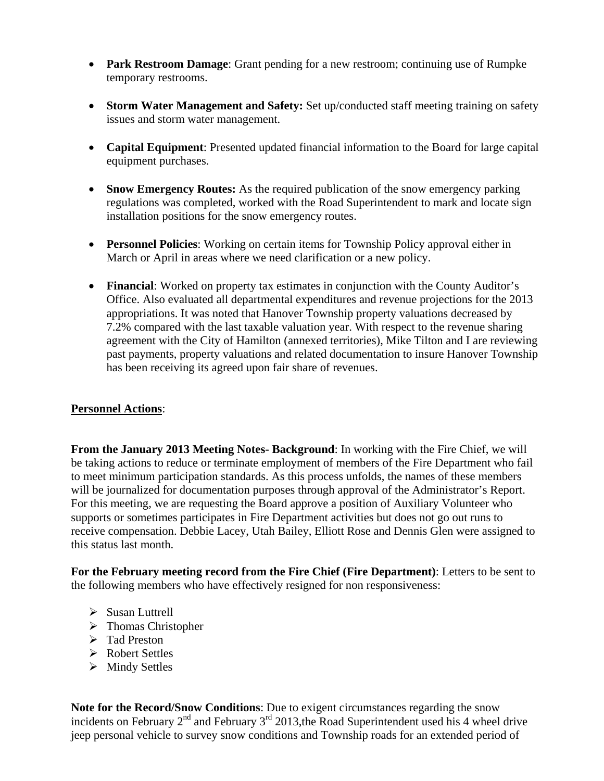- **Park Restroom Damage**: Grant pending for a new restroom; continuing use of Rumpke temporary restrooms.
- **Storm Water Management and Safety:** Set up/conducted staff meeting training on safety issues and storm water management.
- **Capital Equipment**: Presented updated financial information to the Board for large capital equipment purchases.
- **Snow Emergency Routes:** As the required publication of the snow emergency parking regulations was completed, worked with the Road Superintendent to mark and locate sign installation positions for the snow emergency routes.
- **Personnel Policies**: Working on certain items for Township Policy approval either in March or April in areas where we need clarification or a new policy.
- **Financial**: Worked on property tax estimates in conjunction with the County Auditor's Office. Also evaluated all departmental expenditures and revenue projections for the 2013 appropriations. It was noted that Hanover Township property valuations decreased by 7.2% compared with the last taxable valuation year. With respect to the revenue sharing agreement with the City of Hamilton (annexed territories), Mike Tilton and I are reviewing past payments, property valuations and related documentation to insure Hanover Township has been receiving its agreed upon fair share of revenues.

# **Personnel Actions**:

**From the January 2013 Meeting Notes- Background**: In working with the Fire Chief, we will be taking actions to reduce or terminate employment of members of the Fire Department who fail to meet minimum participation standards. As this process unfolds, the names of these members will be journalized for documentation purposes through approval of the Administrator's Report. For this meeting, we are requesting the Board approve a position of Auxiliary Volunteer who supports or sometimes participates in Fire Department activities but does not go out runs to receive compensation. Debbie Lacey, Utah Bailey, Elliott Rose and Dennis Glen were assigned to this status last month.

**For the February meeting record from the Fire Chief (Fire Department)**: Letters to be sent to the following members who have effectively resigned for non responsiveness:

- $\triangleright$  Susan Luttrell
- > Thomas Christopher
- > Tad Preston
- Robert Settles
- $\triangleright$  Mindy Settles

**Note for the Record/Snow Conditions**: Due to exigent circumstances regarding the snow incidents on February  $2^{nd}$  and February  $3^{rd}$  2013, the Road Superintendent used his 4 wheel drive jeep personal vehicle to survey snow conditions and Township roads for an extended period of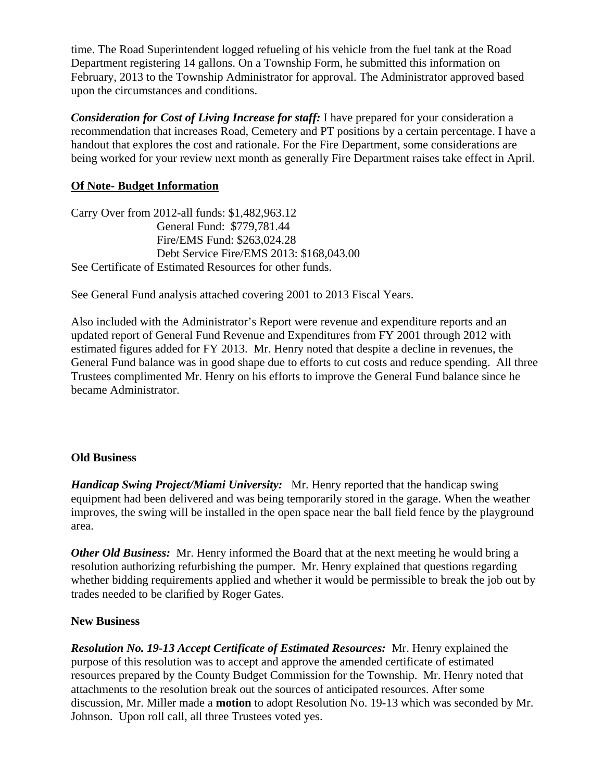time. The Road Superintendent logged refueling of his vehicle from the fuel tank at the Road Department registering 14 gallons. On a Township Form, he submitted this information on February, 2013 to the Township Administrator for approval. The Administrator approved based upon the circumstances and conditions.

*Consideration for Cost of Living Increase for staff:* I have prepared for your consideration a recommendation that increases Road, Cemetery and PT positions by a certain percentage. I have a handout that explores the cost and rationale. For the Fire Department, some considerations are being worked for your review next month as generally Fire Department raises take effect in April.

# **Of Note- Budget Information**

Carry Over from 2012-all funds: \$1,482,963.12 General Fund: \$779,781.44 Fire/EMS Fund: \$263,024.28 Debt Service Fire/EMS 2013: \$168,043.00 See Certificate of Estimated Resources for other funds.

See General Fund analysis attached covering 2001 to 2013 Fiscal Years.

Also included with the Administrator's Report were revenue and expenditure reports and an updated report of General Fund Revenue and Expenditures from FY 2001 through 2012 with estimated figures added for FY 2013. Mr. Henry noted that despite a decline in revenues, the General Fund balance was in good shape due to efforts to cut costs and reduce spending. All three Trustees complimented Mr. Henry on his efforts to improve the General Fund balance since he became Administrator.

# **Old Business**

*Handicap Swing Project/Miami University:* Mr. Henry reported that the handicap swing equipment had been delivered and was being temporarily stored in the garage. When the weather improves, the swing will be installed in the open space near the ball field fence by the playground area.

*Other Old Business:* Mr. Henry informed the Board that at the next meeting he would bring a resolution authorizing refurbishing the pumper. Mr. Henry explained that questions regarding whether bidding requirements applied and whether it would be permissible to break the job out by trades needed to be clarified by Roger Gates.

# **New Business**

*Resolution No. 19-13 Accept Certificate of Estimated Resources:* Mr. Henry explained the purpose of this resolution was to accept and approve the amended certificate of estimated resources prepared by the County Budget Commission for the Township. Mr. Henry noted that attachments to the resolution break out the sources of anticipated resources. After some discussion, Mr. Miller made a **motion** to adopt Resolution No. 19-13 which was seconded by Mr. Johnson. Upon roll call, all three Trustees voted yes.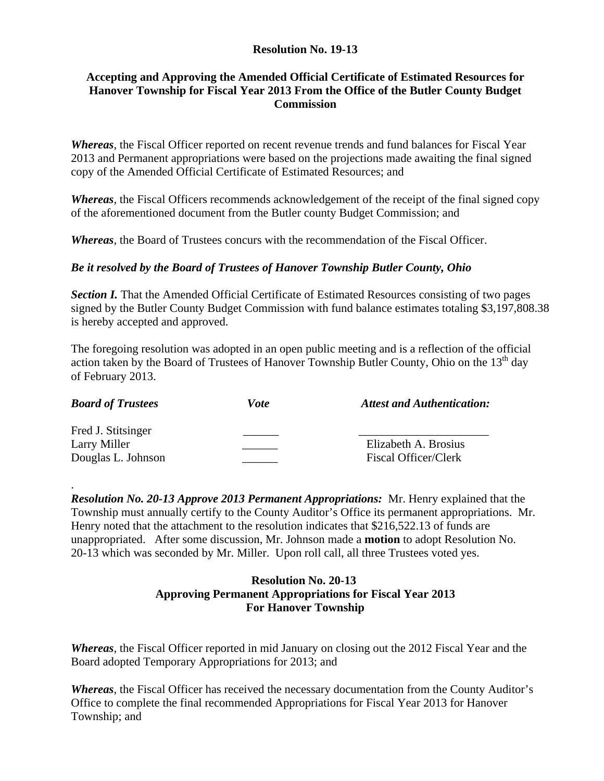## **Resolution No. 19-13**

### **Accepting and Approving the Amended Official Certificate of Estimated Resources for Hanover Township for Fiscal Year 2013 From the Office of the Butler County Budget Commission**

*Whereas*, the Fiscal Officer reported on recent revenue trends and fund balances for Fiscal Year 2013 and Permanent appropriations were based on the projections made awaiting the final signed copy of the Amended Official Certificate of Estimated Resources; and

*Whereas*, the Fiscal Officers recommends acknowledgement of the receipt of the final signed copy of the aforementioned document from the Butler county Budget Commission; and

*Whereas*, the Board of Trustees concurs with the recommendation of the Fiscal Officer.

### *Be it resolved by the Board of Trustees of Hanover Township Butler County, Ohio*

**Section I.** That the Amended Official Certificate of Estimated Resources consisting of two pages signed by the Butler County Budget Commission with fund balance estimates totaling \$3,197,808.38 is hereby accepted and approved.

The foregoing resolution was adopted in an open public meeting and is a reflection of the official action taken by the Board of Trustees of Hanover Township Butler County, Ohio on the  $13<sup>th</sup>$  day of February 2013.

| <b>Board of Trustees</b>                                 | <i>Vote</i> | <b>Attest and Authentication:</b>            |
|----------------------------------------------------------|-------------|----------------------------------------------|
| Fred J. Stitsinger<br>Larry Miller<br>Douglas L. Johnson |             | Elizabeth A. Brosius<br>Fiscal Officer/Clerk |

.

*Resolution No. 20-13 Approve 2013 Permanent Appropriations:* Mr. Henry explained that the Township must annually certify to the County Auditor's Office its permanent appropriations. Mr. Henry noted that the attachment to the resolution indicates that \$216,522.13 of funds are unappropriated. After some discussion, Mr. Johnson made a **motion** to adopt Resolution No. 20-13 which was seconded by Mr. Miller. Upon roll call, all three Trustees voted yes.

## **Resolution No. 20-13 Approving Permanent Appropriations for Fiscal Year 2013 For Hanover Township**

*Whereas*, the Fiscal Officer reported in mid January on closing out the 2012 Fiscal Year and the Board adopted Temporary Appropriations for 2013; and

*Whereas*, the Fiscal Officer has received the necessary documentation from the County Auditor's Office to complete the final recommended Appropriations for Fiscal Year 2013 for Hanover Township; and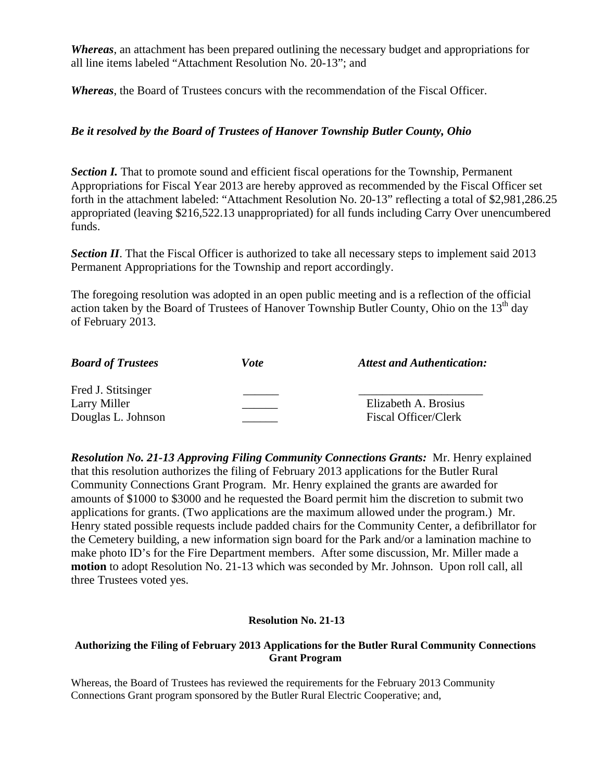*Whereas*, an attachment has been prepared outlining the necessary budget and appropriations for all line items labeled "Attachment Resolution No. 20-13"; and

*Whereas*, the Board of Trustees concurs with the recommendation of the Fiscal Officer.

### *Be it resolved by the Board of Trustees of Hanover Township Butler County, Ohio*

**Section I.** That to promote sound and efficient fiscal operations for the Township, Permanent Appropriations for Fiscal Year 2013 are hereby approved as recommended by the Fiscal Officer set forth in the attachment labeled: "Attachment Resolution No. 20-13" reflecting a total of \$2,981,286.25 appropriated (leaving \$216,522.13 unappropriated) for all funds including Carry Over unencumbered funds.

**Section II**. That the Fiscal Officer is authorized to take all necessary steps to implement said 2013 Permanent Appropriations for the Township and report accordingly.

The foregoing resolution was adopted in an open public meeting and is a reflection of the official action taken by the Board of Trustees of Hanover Township Butler County, Ohio on the 13<sup>th</sup> day of February 2013.

| <b>Board of Trustees</b> | <i>Vote</i> | <b>Attest and Authentication:</b> |
|--------------------------|-------------|-----------------------------------|
| Fred J. Stitsinger       |             |                                   |
| Larry Miller             |             | Elizabeth A. Brosius              |
| Douglas L. Johnson       |             | Fiscal Officer/Clerk              |

*Resolution No. 21-13 Approving Filing Community Connections Grants:* Mr. Henry explained that this resolution authorizes the filing of February 2013 applications for the Butler Rural Community Connections Grant Program. Mr. Henry explained the grants are awarded for amounts of \$1000 to \$3000 and he requested the Board permit him the discretion to submit two applications for grants. (Two applications are the maximum allowed under the program.) Mr. Henry stated possible requests include padded chairs for the Community Center, a defibrillator for the Cemetery building, a new information sign board for the Park and/or a lamination machine to make photo ID's for the Fire Department members. After some discussion, Mr. Miller made a **motion** to adopt Resolution No. 21-13 which was seconded by Mr. Johnson. Upon roll call, all three Trustees voted yes.

#### **Resolution No. 21-13**

#### **Authorizing the Filing of February 2013 Applications for the Butler Rural Community Connections Grant Program**

Whereas, the Board of Trustees has reviewed the requirements for the February 2013 Community Connections Grant program sponsored by the Butler Rural Electric Cooperative; and,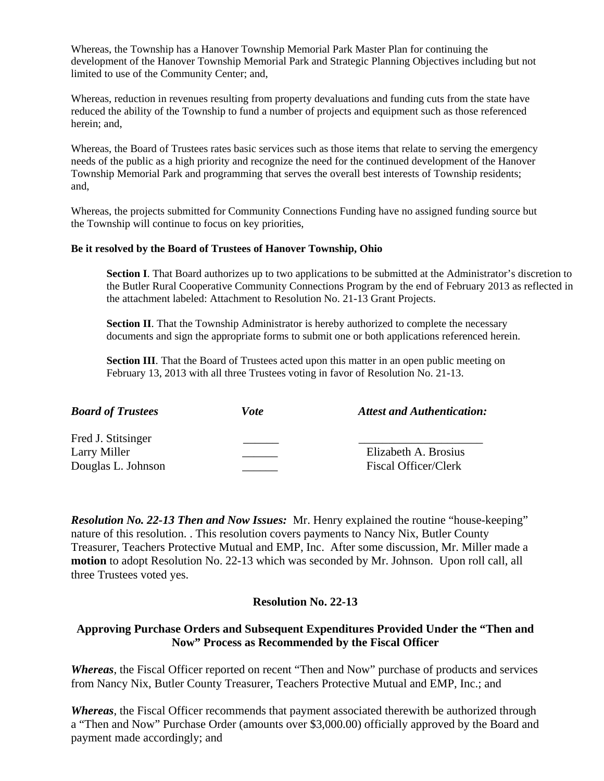Whereas, the Township has a Hanover Township Memorial Park Master Plan for continuing the development of the Hanover Township Memorial Park and Strategic Planning Objectives including but not limited to use of the Community Center; and,

Whereas, reduction in revenues resulting from property devaluations and funding cuts from the state have reduced the ability of the Township to fund a number of projects and equipment such as those referenced herein; and,

Whereas, the Board of Trustees rates basic services such as those items that relate to serving the emergency needs of the public as a high priority and recognize the need for the continued development of the Hanover Township Memorial Park and programming that serves the overall best interests of Township residents; and,

Whereas, the projects submitted for Community Connections Funding have no assigned funding source but the Township will continue to focus on key priorities,

#### **Be it resolved by the Board of Trustees of Hanover Township, Ohio**

**Section I**. That Board authorizes up to two applications to be submitted at the Administrator's discretion to the Butler Rural Cooperative Community Connections Program by the end of February 2013 as reflected in the attachment labeled: Attachment to Resolution No. 21-13 Grant Projects.

**Section II**. That the Township Administrator is hereby authorized to complete the necessary documents and sign the appropriate forms to submit one or both applications referenced herein.

**Section III**. That the Board of Trustees acted upon this matter in an open public meeting on February 13, 2013 with all three Trustees voting in favor of Resolution No. 21-13.

| <b>Board of Trustees</b> | Vote | <b>Attest and Authentication:</b> |
|--------------------------|------|-----------------------------------|
| Fred J. Stitsinger       |      |                                   |
| Larry Miller             |      | Elizabeth A. Brosius              |
| Douglas L. Johnson       |      | <b>Fiscal Officer/Clerk</b>       |

*Resolution No. 22-13 Then and Now Issues:* Mr. Henry explained the routine "house-keeping" nature of this resolution. . This resolution covers payments to Nancy Nix, Butler County Treasurer, Teachers Protective Mutual and EMP, Inc. After some discussion, Mr. Miller made a **motion** to adopt Resolution No. 22-13 which was seconded by Mr. Johnson. Upon roll call, all three Trustees voted yes.

#### **Resolution No. 22-13**

### **Approving Purchase Orders and Subsequent Expenditures Provided Under the "Then and Now" Process as Recommended by the Fiscal Officer**

*Whereas*, the Fiscal Officer reported on recent "Then and Now" purchase of products and services from Nancy Nix, Butler County Treasurer, Teachers Protective Mutual and EMP, Inc.; and

*Whereas*, the Fiscal Officer recommends that payment associated therewith be authorized through a "Then and Now" Purchase Order (amounts over \$3,000.00) officially approved by the Board and payment made accordingly; and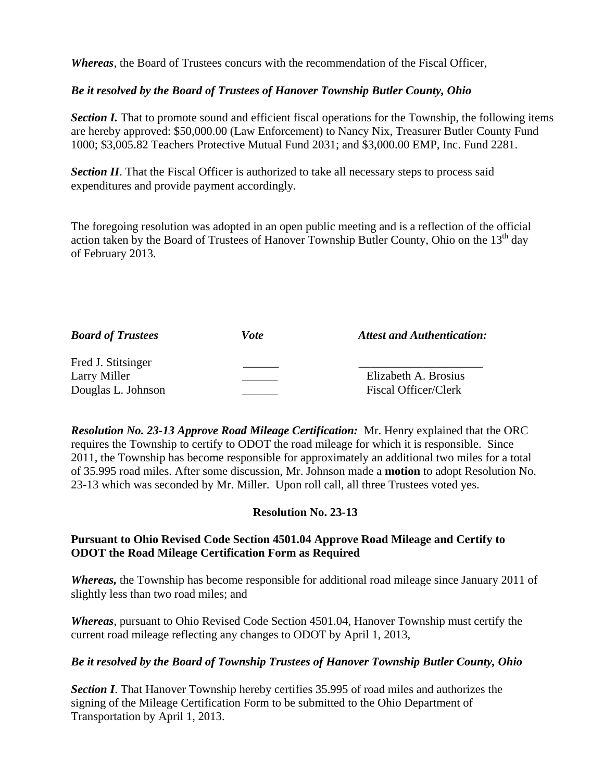*Whereas*, the Board of Trustees concurs with the recommendation of the Fiscal Officer,

## *Be it resolved by the Board of Trustees of Hanover Township Butler County, Ohio*

*Section I.* That to promote sound and efficient fiscal operations for the Township, the following items are hereby approved: \$50,000.00 (Law Enforcement) to Nancy Nix, Treasurer Butler County Fund 1000; \$3,005.82 Teachers Protective Mutual Fund 2031; and \$3,000.00 EMP, Inc. Fund 2281.

*Section II*. That the Fiscal Officer is authorized to take all necessary steps to process said expenditures and provide payment accordingly.

The foregoing resolution was adopted in an open public meeting and is a reflection of the official action taken by the Board of Trustees of Hanover Township Butler County, Ohio on the  $13<sup>th</sup>$  day of February 2013.

| <b>Board of Trustees</b> | Vote | <b>Attest and Authentication:</b> |
|--------------------------|------|-----------------------------------|
| Fred J. Stitsinger       |      |                                   |
| Larry Miller             |      | Elizabeth A. Brosius              |
| Douglas L. Johnson       |      | Fiscal Officer/Clerk              |

*Resolution No. 23-13 Approve Road Mileage Certification:* Mr. Henry explained that the ORC requires the Township to certify to ODOT the road mileage for which it is responsible. Since 2011, the Township has become responsible for approximately an additional two miles for a total of 35.995 road miles. After some discussion, Mr. Johnson made a **motion** to adopt Resolution No. 23-13 which was seconded by Mr. Miller. Upon roll call, all three Trustees voted yes.

# **Resolution No. 23-13**

### **Pursuant to Ohio Revised Code Section 4501.04 Approve Road Mileage and Certify to ODOT the Road Mileage Certification Form as Required**

*Whereas,* the Township has become responsible for additional road mileage since January 2011 of slightly less than two road miles; and

*Whereas*, pursuant to Ohio Revised Code Section 4501.04, Hanover Township must certify the current road mileage reflecting any changes to ODOT by April 1, 2013,

# *Be it resolved by the Board of Township Trustees of Hanover Township Butler County, Ohio*

**Section I**. That Hanover Township hereby certifies 35.995 of road miles and authorizes the signing of the Mileage Certification Form to be submitted to the Ohio Department of Transportation by April 1, 2013.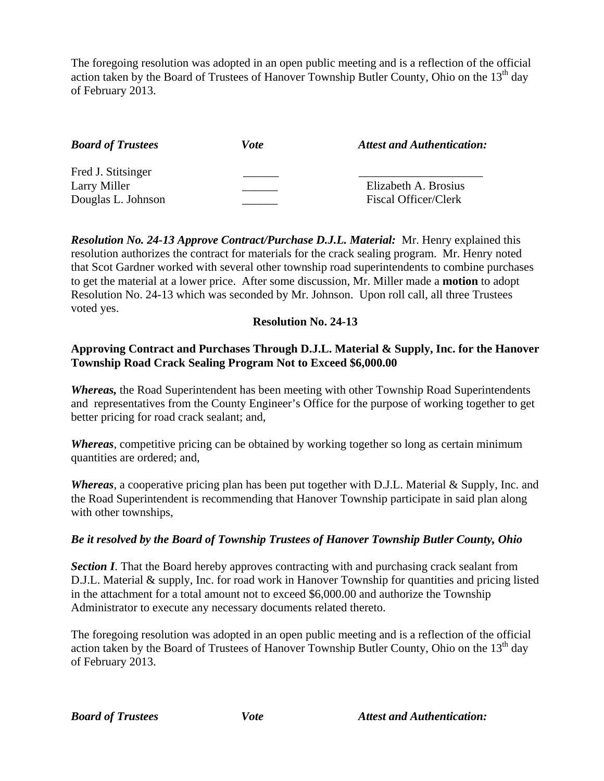The foregoing resolution was adopted in an open public meeting and is a reflection of the official action taken by the Board of Trustees of Hanover Township Butler County, Ohio on the  $13<sup>th</sup>$  day of February 2013.

| <b>Board of Trustees</b> | Vote | <b>Attest and Authentication:</b> |
|--------------------------|------|-----------------------------------|
| Fred J. Stitsinger       |      |                                   |
| Larry Miller             |      | Elizabeth A. Brosius              |
| Douglas L. Johnson       |      | Fiscal Officer/Clerk              |

*Resolution No. 24-13 Approve Contract/Purchase D.J.L. Material:* Mr. Henry explained this resolution authorizes the contract for materials for the crack sealing program. Mr. Henry noted that Scot Gardner worked with several other township road superintendents to combine purchases to get the material at a lower price. After some discussion, Mr. Miller made a **motion** to adopt Resolution No. 24-13 which was seconded by Mr. Johnson. Upon roll call, all three Trustees voted yes.

### **Resolution No. 24-13**

## **Approving Contract and Purchases Through D.J.L. Material & Supply, Inc. for the Hanover Township Road Crack Sealing Program Not to Exceed \$6,000.00**

*Whereas,* the Road Superintendent has been meeting with other Township Road Superintendents and representatives from the County Engineer's Office for the purpose of working together to get better pricing for road crack sealant; and,

*Whereas*, competitive pricing can be obtained by working together so long as certain minimum quantities are ordered; and,

*Whereas*, a cooperative pricing plan has been put together with D.J.L. Material & Supply, Inc. and the Road Superintendent is recommending that Hanover Township participate in said plan along with other townships,

#### *Be it resolved by the Board of Township Trustees of Hanover Township Butler County, Ohio*

*Section I*. That the Board hereby approves contracting with and purchasing crack sealant from D.J.L. Material & supply, Inc. for road work in Hanover Township for quantities and pricing listed in the attachment for a total amount not to exceed \$6,000.00 and authorize the Township Administrator to execute any necessary documents related thereto.

The foregoing resolution was adopted in an open public meeting and is a reflection of the official action taken by the Board of Trustees of Hanover Township Butler County, Ohio on the 13<sup>th</sup> day of February 2013.

*Board of Trustees Vote Vote Attest and Authentication:*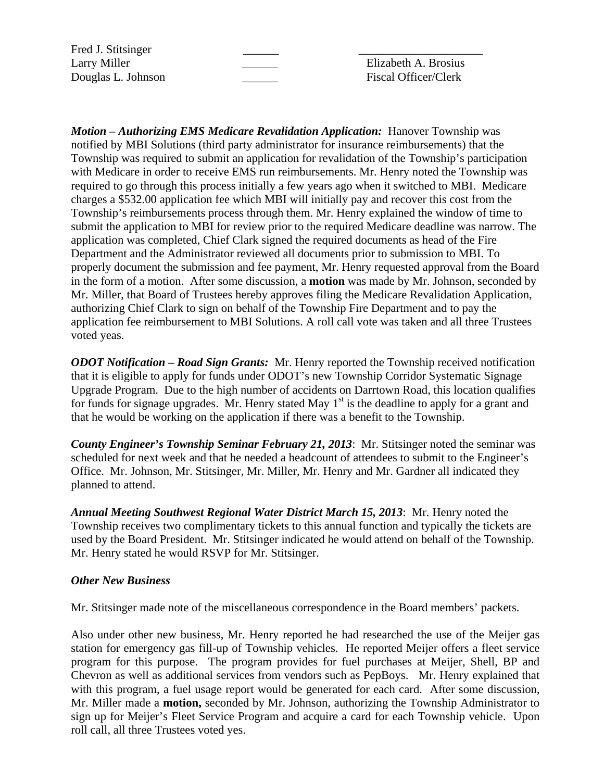Fred J. Stitsinger

Larry Miller **Elizabeth A. Brosius** Douglas L. Johnson \_\_\_\_\_\_ Fiscal Officer/Clerk

*Motion – Authorizing EMS Medicare Revalidation Application: Hanover Township was* notified by MBI Solutions (third party administrator for insurance reimbursements) that the Township was required to submit an application for revalidation of the Township's participation with Medicare in order to receive EMS run reimbursements. Mr. Henry noted the Township was required to go through this process initially a few years ago when it switched to MBI. Medicare charges a \$532.00 application fee which MBI will initially pay and recover this cost from the Township's reimbursements process through them. Mr. Henry explained the window of time to submit the application to MBI for review prior to the required Medicare deadline was narrow. The application was completed, Chief Clark signed the required documents as head of the Fire Department and the Administrator reviewed all documents prior to submission to MBI. To properly document the submission and fee payment, Mr. Henry requested approval from the Board in the form of a motion. After some discussion, a **motion** was made by Mr. Johnson, seconded by Mr. Miller, that Board of Trustees hereby approves filing the Medicare Revalidation Application, authorizing Chief Clark to sign on behalf of the Township Fire Department and to pay the application fee reimbursement to MBI Solutions. A roll call vote was taken and all three Trustees voted yeas.

*ODOT Notification – Road Sign Grants:* Mr. Henry reported the Township received notification that it is eligible to apply for funds under ODOT's new Township Corridor Systematic Signage Upgrade Program. Due to the high number of accidents on Darrtown Road, this location qualifies for funds for signage upgrades. Mr. Henry stated May  $1<sup>st</sup>$  is the deadline to apply for a grant and that he would be working on the application if there was a benefit to the Township.

*County Engineer's Township Seminar February 21, 2013*: Mr. Stitsinger noted the seminar was scheduled for next week and that he needed a headcount of attendees to submit to the Engineer's Office. Mr. Johnson, Mr. Stitsinger, Mr. Miller, Mr. Henry and Mr. Gardner all indicated they planned to attend.

*Annual Meeting Southwest Regional Water District March 15, 2013*: Mr. Henry noted the Township receives two complimentary tickets to this annual function and typically the tickets are used by the Board President. Mr. Stitsinger indicated he would attend on behalf of the Township. Mr. Henry stated he would RSVP for Mr. Stitsinger.

#### *Other New Business*

Mr. Stitsinger made note of the miscellaneous correspondence in the Board members' packets.

Also under other new business, Mr. Henry reported he had researched the use of the Meijer gas station for emergency gas fill-up of Township vehicles. He reported Meijer offers a fleet service program for this purpose. The program provides for fuel purchases at Meijer, Shell, BP and Chevron as well as additional services from vendors such as PepBoys. Mr. Henry explained that with this program, a fuel usage report would be generated for each card. After some discussion, Mr. Miller made a **motion,** seconded by Mr. Johnson, authorizing the Township Administrator to sign up for Meijer's Fleet Service Program and acquire a card for each Township vehicle. Upon roll call, all three Trustees voted yes.